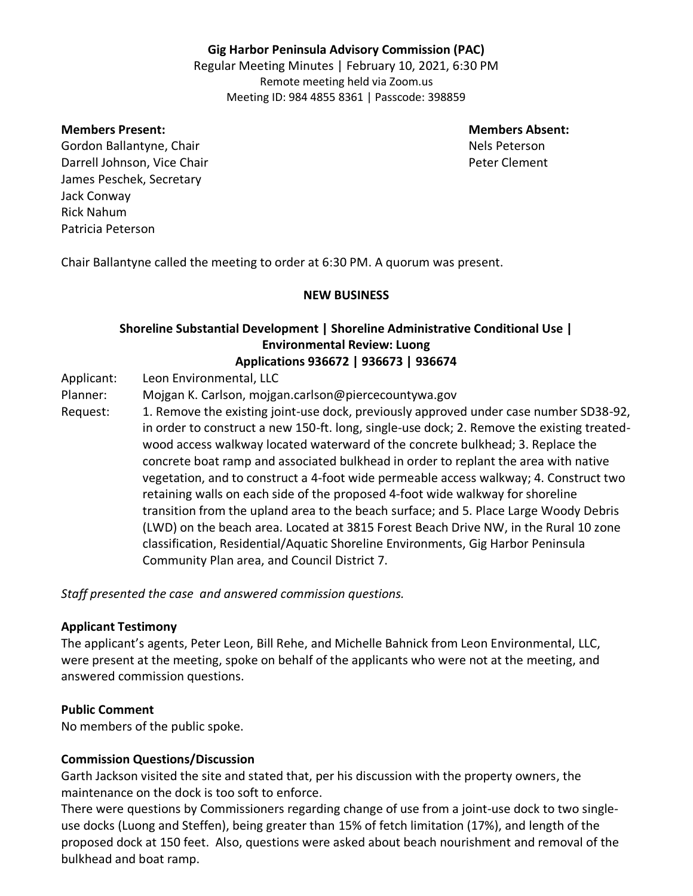# **Gig Harbor Peninsula Advisory Commission (PAC)**

Regular Meeting Minutes | February 10, 2021, 6:30 PM Remote meeting held via Zoom.us Meeting ID: 984 4855 8361 | Passcode: 398859

**Members Present: Members Absent:**

Gordon Ballantyne, Chair Nels Peterson Nels Peterson Darrell Johnson, Vice Chair Peter Clement and Darrell Johnson, Vice Chair James Peschek, Secretary Jack Conway Rick Nahum Patricia Peterson

Chair Ballantyne called the meeting to order at 6:30 PM. A quorum was present.

## **NEW BUSINESS**

## **Shoreline Substantial Development | Shoreline Administrative Conditional Use | Environmental Review: Luong Applications 936672 | 936673 | 936674**

Applicant: Leon Environmental, LLC

Planner: Mojgan K. Carlson, mojgan.carlson@piercecountywa.gov

Request: 1. Remove the existing joint-use dock, previously approved under case number SD38-92, in order to construct a new 150-ft. long, single-use dock; 2. Remove the existing treatedwood access walkway located waterward of the concrete bulkhead; 3. Replace the concrete boat ramp and associated bulkhead in order to replant the area with native vegetation, and to construct a 4-foot wide permeable access walkway; 4. Construct two retaining walls on each side of the proposed 4-foot wide walkway for shoreline transition from the upland area to the beach surface; and 5. Place Large Woody Debris (LWD) on the beach area. Located at 3815 Forest Beach Drive NW, in the Rural 10 zone classification, Residential/Aquatic Shoreline Environments, Gig Harbor Peninsula Community Plan area, and Council District 7.

*Staff presented the case and answered commission questions.*

## **Applicant Testimony**

The applicant's agents, Peter Leon, Bill Rehe, and Michelle Bahnick from Leon Environmental, LLC, were present at the meeting, spoke on behalf of the applicants who were not at the meeting, and answered commission questions.

# **Public Comment**

No members of the public spoke.

# **Commission Questions/Discussion**

Garth Jackson visited the site and stated that, per his discussion with the property owners, the maintenance on the dock is too soft to enforce.

There were questions by Commissioners regarding change of use from a joint-use dock to two singleuse docks (Luong and Steffen), being greater than 15% of fetch limitation (17%), and length of the proposed dock at 150 feet. Also, questions were asked about beach nourishment and removal of the bulkhead and boat ramp.